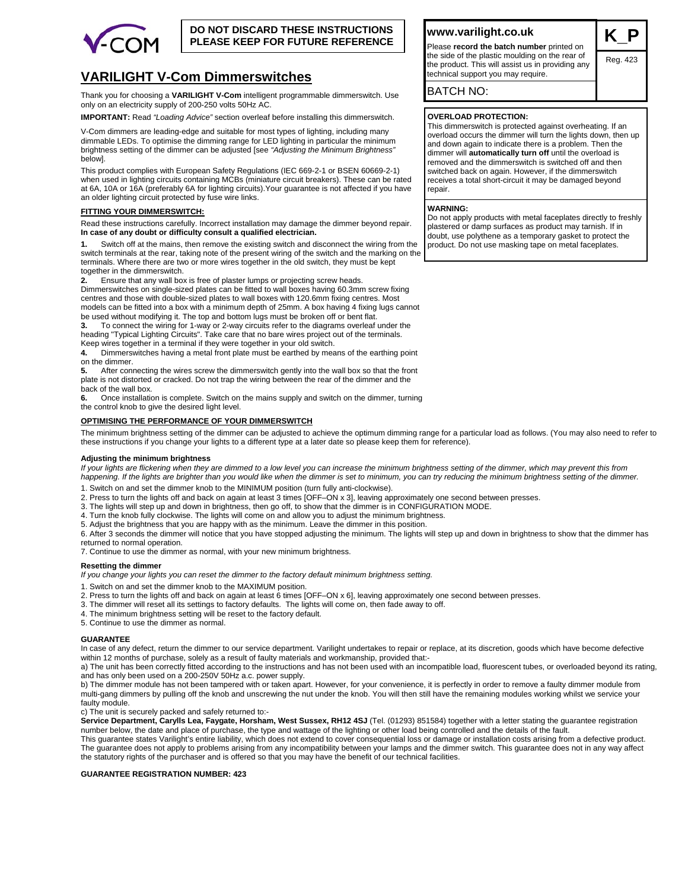

# **DO NOT DISCARD THESE INSTRUCTIONS PLEASE KEEP FOR FUTURE REFERENCE**

# **VARILIGHT V-Com Dimmerswitches**

Thank you for choosing a **VARILIGHT V-Com** intelligent programmable dimmerswitch. Use only on an electricity supply of 200-250 volts 50Hz AC.

**IMPORTANT:** Read *"Loading Advice"* section overleaf before installing this dimmerswitch.

V-Com dimmers are leading-edge and suitable for most types of lighting, including many dimmable LEDs. To optimise the dimming range for LED lighting in particular the minimum brightness setting of the dimmer can be adjusted [see *"Adjusting the Minimum Brightness"*  below].

This product complies with European Safety Regulations (IEC 669-2-1 or BSEN 60669-2-1) when used in lighting circuits containing MCBs (miniature circuit breakers). These can be rated at 6A, 10A or 16A (preferably 6A for lighting circuits).Your guarantee is not affected if you have an older lighting circuit protected by fuse wire links.

#### **FITTING YOUR DIMMERSWITCH:**

Read these instructions carefully. Incorrect installation may damage the dimmer beyond repair. **In case of any doubt or difficulty consult a qualified electrician.**

**1.** Switch off at the mains, then remove the existing switch and disconnect the wiring from the switch terminals at the rear, taking note of the present wiring of the switch and the marking on the terminals. Where there are two or more wires together in the old switch, they must be kept together in the dimmerswitch.

**2.** Ensure that any wall box is free of plaster lumps or projecting screw heads.

Dimmerswitches on single-sized plates can be fitted to wall boxes having 60.3mm screw fixing centres and those with double-sized plates to wall boxes with 120.6mm fixing centres. Most models can be fitted into a box with a minimum depth of 25mm. A box having 4 fixing lugs cannot be used without modifying it. The top and bottom lugs must be broken off or bent flat.

**3.** To connect the wiring for 1-way or 2-way circuits refer to the diagrams overleaf under the heading "Typical Lighting Circuits". Take care that no bare wires project out of the terminals. Keep wires together in a terminal if they were together in your old switch.

**4.** Dimmerswitches having a metal front plate must be earthed by means of the earthing point on the dimmer.

**5.** After connecting the wires screw the dimmerswitch gently into the wall box so that the front plate is not distorted or cracked. Do not trap the wiring between the rear of the dimmer and the back of the wall box.

**6.** Once installation is complete. Switch on the mains supply and switch on the dimmer, turning the control knob to give the desired light level.

### **OPTIMISING THE PERFORMANCE OF YOUR DIMMERSWITCH**

The minimum brightness setting of the dimmer can be adjusted to achieve the optimum dimming range for a particular load as follows. (You may also need to refer to these instructions if you change your lights to a different type at a later date so please keep them for reference).

#### **Adjusting the minimum brightness**

*If your lights are flickering when they are dimmed to a low level you can increase the minimum brightness setting of the dimmer, which may prevent this from happening. If the lights are brighter than you would like when the dimmer is set to minimum, you can try reducing the minimum brightness setting of the dimmer.* 

1. Switch on and set the dimmer knob to the MINIMUM position (turn fully anti-clockwise).

2. Press to turn the lights off and back on again at least 3 times [OFF–ON x 3], leaving approximately one second between presses.

3. The lights will step up and down in brightness, then go off, to show that the dimmer is in CONFIGURATION MODE.

4. Turn the knob fully clockwise. The lights will come on and allow you to adjust the minimum brightness.

5. Adjust the brightness that you are happy with as the minimum. Leave the dimmer in this position.

6. After 3 seconds the dimmer will notice that you have stopped adjusting the minimum. The lights will step up and down in brightness to show that the dimmer has returned to normal operation.

7. Continue to use the dimmer as normal, with your new minimum brightness.

#### **Resetting the dimmer**

*If you change your lights you can reset the dimmer to the factory default minimum brightness setting.* 

1. Switch on and set the dimmer knob to the MAXIMUM position.

- 2. Press to turn the lights off and back on again at least 6 times [OFF–ON x 6], leaving approximately one second between presses.
- 3. The dimmer will reset all its settings to factory defaults. The lights will come on, then fade away to off.
- 4. The minimum brightness setting will be reset to the factory default.

5. Continue to use the dimmer as normal.

#### **GUARANTEE**

In case of any defect, return the dimmer to our service department. Varilight undertakes to repair or replace, at its discretion, goods which have become defective within 12 months of purchase, solely as a result of faulty materials and workmanship, provided that:-

a) The unit has been correctly fitted according to the instructions and has not been used with an incompatible load, fluorescent tubes, or overloaded beyond its rating, and has only been used on a 200-250V 50Hz a.c. power supply.

b) The dimmer module has not been tampered with or taken apart. However, for your convenience, it is perfectly in order to remove a faulty dimmer module from multi-gang dimmers by pulling off the knob and unscrewing the nut under the knob. You will then still have the remaining modules working whilst we service your faulty module.

c) The unit is securely packed and safely returned to:-

**Service Department, Carylls Lea, Faygate, Horsham, West Sussex, RH12 4SJ** (Tel. (01293) 851584) together with a letter stating the guarantee registration number below, the date and place of purchase, the type and wattage of the lighting or other load being controlled and the details of the fault.

This guarantee states Varilight's entire liability, which does not extend to cover consequential loss or damage or installation costs arising from a defective product. The guarantee does not apply to problems arising from any incompatibility between your lamps and the dimmer switch. This guarantee does not in any way affect the statutory rights of the purchaser and is offered so that you may have the benefit of our technical facilities.

#### **GUARANTEE REGISTRATION NUMBER: 423**

# **www.varilight.co.uk**

Please **record the batch number** printed on the side of the plastic moulding on the rear of the product. This will assist us in providing any technical support you may require.

BATCH NO:

# **OVERLOAD PROTECTION:**

This dimmerswitch is protected against overheating. If an overload occurs the dimmer will turn the lights down, then up and down again to indicate there is a problem. Then the dimmer will **automatically turn off** until the overload is removed and the dimmerswitch is switched off and then switched back on again. However, if the dimmerswitch receives a total short-circuit it may be damaged beyond repair.

Reg. 423

### **WARNING:**

Do not apply products with metal faceplates directly to freshly plastered or damp surfaces as product may tarnish. If in doubt, use polythene as a temporary gasket to protect the product. Do not use masking tape on metal faceplates.